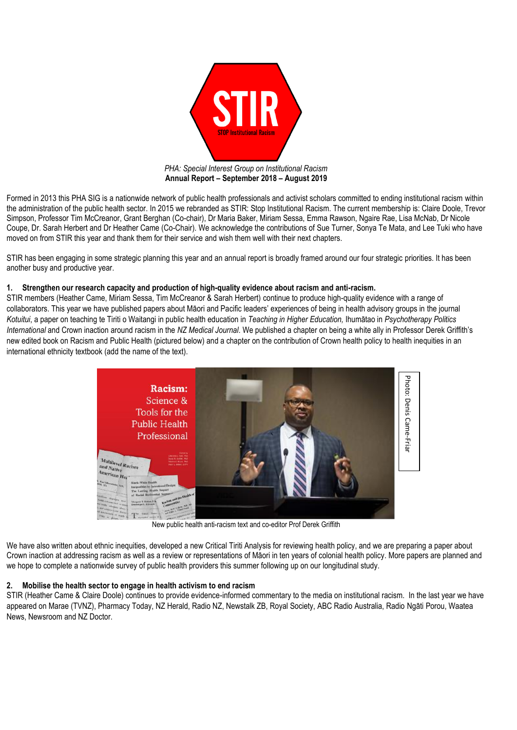

Formed in 2013 this PHA SIG is a nationwide network of public health professionals and activist scholars committed to ending institutional racism within the administration of the public health sector. In 2015 we rebranded as STIR: Stop Institutional Racism. The current membership is: Claire Doole, Trevor Simpson, Professor Tim McCreanor, Grant Berghan (Co-chair), Dr Maria Baker, Miriam Sessa, Emma Rawson, Ngaire Rae, Lisa McNab, Dr Nicole Coupe, Dr. Sarah Herbert and Dr Heather Came (Co-Chair). We acknowledge the contributions of Sue Turner, Sonya Te Mata, and Lee Tuki who have moved on from STIR this year and thank them for their service and wish them well with their next chapters.

STIR has been engaging in some strategic planning this year and an annual report is broadly framed around our four strategic priorities. It has been another busy and productive year.

#### **1. Strengthen our research capacity and production of high-quality evidence about racism and anti-racism.**

STIR members (Heather Came, Miriam Sessa, Tim McCreanor & Sarah Herbert) continue to produce high-quality evidence with a range of collaborators. This year we have published papers about Māori and Pacific leaders' experiences of being in health advisory groups in the journal *Kotuitui*, a paper on teaching te Tiriti o Waitangi in public health education in *Teaching in Higher Education,* Ihumātao in *Psychotherapy Politics International* and Crown inaction around racism in the *NZ Medical Journal*. We published a chapter on being a white ally in Professor Derek Griffith's new edited book on Racism and Public Health (pictured below) and a chapter on the contribution of Crown health policy to health inequities in an international ethnicity textbook (add the name of the text).



New public health anti-racism text and co-editor Prof Derek Griffith

We have also written about ethnic inequities, developed a new Critical Tiriti Analysis for reviewing health policy, and we are preparing a paper about Crown inaction at addressing racism as well as a review or representations of Māori in ten years of colonial health policy. More papers are planned and we hope to complete a nationwide survey of public health providers this summer following up on our longitudinal study.

# **2. Mobilise the health sector to engage in health activism to end racism**

STIR (Heather Came & Claire Doole) continues to provide evidence-informed commentary to the media on institutional racism. In the last year we have appeared on Marae (TVNZ), Pharmacy Today, NZ Herald, Radio NZ, Newstalk ZB, Royal Society, ABC Radio Australia, Radio Ngāti Porou, Waatea News, Newsroom and NZ Doctor.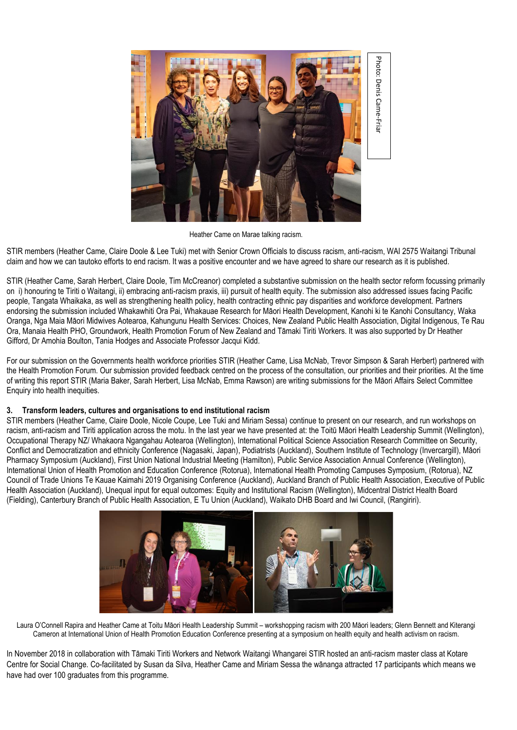

Heather Came on Marae talking racism.

STIR members (Heather Came, Claire Doole & Lee Tuki) met with Senior Crown Officials to discuss racism, anti-racism, WAI 2575 Waitangi Tribunal claim and how we can tautoko efforts to end racism. It was a positive encounter and we have agreed to share our research as it is published.

STIR (Heather Came, Sarah Herbert, Claire Doole, Tim McCreanor) completed a substantive submission on the health sector reform focussing primarily on i) honouring te Tiriti o Waitangi, ii) embracing anti-racism praxis, iii) pursuit of health equity. The submission also addressed issues facing Pacific people, Tangata Whaikaka, as well as strengthening health policy, health contracting ethnic pay disparities and workforce development. Partners endorsing the submission included Whakawhiti Ora Pai, Whakauae Research for Māori Health Development, Kanohi ki te Kanohi Consultancy, Waka Oranga, Nga Maia Māori Midwives Aotearoa, Kahungunu Health Services: Choices, New Zealand Public Health Association, Digital Indigenous, Te Rau Ora, Manaia Health PHO, Groundwork, Health Promotion Forum of New Zealand and Tāmaki Tiriti Workers. It was also supported by Dr Heather Gifford, Dr Amohia Boulton, Tania Hodges and Associate Professor Jacqui Kidd.

For our submission on the Governments health workforce priorities STIR (Heather Came, Lisa McNab, Trevor Simpson & Sarah Herbert) partnered with the Health Promotion Forum. Our submission provided feedback centred on the process of the consultation, our priorities and their priorities. At the time of writing this report STIR (Maria Baker, Sarah Herbert, Lisa McNab, Emma Rawson) are writing submissions for the Māori Affairs Select Committee Enquiry into health inequities.

# **3. Transform leaders, cultures and organisations to end institutional racism**

STIR members (Heather Came, Claire Doole, Nicole Coupe, Lee Tuki and Miriam Sessa) continue to present on our research, and run workshops on racism, anti-racism and Tiriti application across the motu. In the last year we have presented at: the Toitū Māori Health Leadership Summit (Wellington), Occupational Therapy NZ/ Whakaora Ngangahau Aotearoa (Wellington), International Political Science Association Research Committee on Security, Conflict and Democratization and ethnicity Conference (Nagasaki, Japan), Podiatrists (Auckland), Southern Institute of Technology (Invercargill), Māori Pharmacy Symposium (Auckland), First Union National Industrial Meeting (Hamilton), Public Service Association Annual Conference (Wellington), International Union of Health Promotion and Education Conference (Rotorua), International Health Promoting Campuses Symposium, (Rotorua), NZ Council of Trade Unions Te Kauae Kaimahi 2019 Organising Conference (Auckland), Auckland Branch of Public Health Association, Executive of Public Health Association (Auckland), Unequal input for equal outcomes: Equity and Institutional Racism (Wellington), Midcentral District Health Board (Fielding), Canterbury Branch of Public Health Association, E Tu Union (Auckland), Waikato DHB Board and Iwi Council, (Rangiriri).



Laura O'Connell Rapira and Heather Came at Toitu Māori Health Leadership Summit – workshopping racism with 200 Māori leaders; Glenn Bennett and Kiterangi Cameron at International Union of Health Promotion Education Conference presenting at a symposium on health equity and health activism on racism.

In November 2018 in collaboration with Tāmaki Tiriti Workers and Network Waitangi Whangarei STIR hosted an anti-racism master class at Kotare Centre for Social Change. Co-facilitated by Susan da Silva, Heather Came and Miriam Sessa the wānanga attracted 17 participants which means we have had over 100 graduates from this programme.